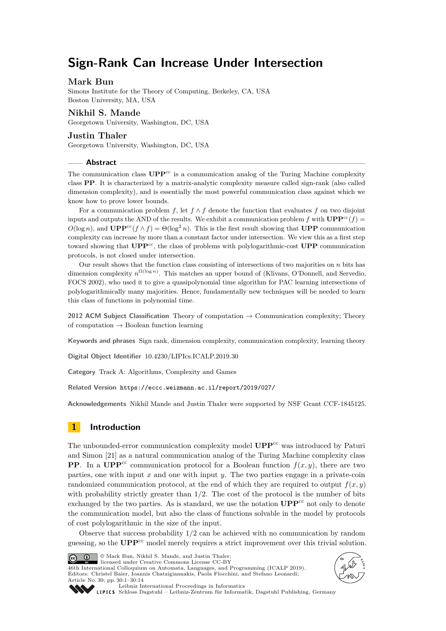# **Sign-Rank Can Increase Under Intersection**

### **Mark Bun**

Simons Institute for the Theory of Computing, Berkeley, CA, USA Boston University, MA, USA

### **Nikhil S. Mande**

Georgetown University, Washington, DC, USA

### **Justin Thaler**

Georgetown University, Washington, DC, USA

#### **Abstract**

The communication class **UPP**<sup>cc</sup> is a communication analog of the Turing Machine complexity class **PP**. It is characterized by a matrix-analytic complexity measure called sign-rank (also called dimension complexity), and is essentially the most powerful communication class against which we know how to prove lower bounds.

For a communication problem *f*, let  $f \wedge f$  denote the function that evaluates *f* on two disjoint inputs and outputs the AND of the results. We exhibit a communication problem *f* with  $\text{UPP}^{\text{cc}}(f)$  =  $O(\log n)$ , and **UPP**<sup>cc</sup>(*f* ∧ *f*) =  $\Theta(\log^2 n)$ . This is the first result showing that **UPP** communication complexity can increase by more than a constant factor under intersection. We view this as a first step toward showing that  $\mathbf{UPP}^{\text{cc}}$ , the class of problems with polylogarithmic-cost  $\mathbf{UPP}$  communication protocols, is not closed under intersection.

Our result shows that the function class consisting of intersections of two majorities on *n* bits has dimension complexity  $n^{\Omega(\log n)}$ . This matches an upper bound of (Klivans, O'Donnell, and Servedio, FOCS 2002), who used it to give a quasipolynomial time algorithm for PAC learning intersections of polylogarithmically many majorities. Hence, fundamentally new techniques will be needed to learn this class of functions in polynomial time.

**2012 ACM Subject Classification** Theory of computation → Communication complexity; Theory of computation  $\rightarrow$  Boolean function learning

**Keywords and phrases** Sign rank, dimension complexity, communication complexity, learning theory

**Digital Object Identifier** [10.4230/LIPIcs.ICALP.2019.30](https://doi.org/10.4230/LIPIcs.ICALP.2019.30)

**Category** Track A: Algorithms, Complexity and Games

**Related Version** <https://eccc.weizmann.ac.il/report/2019/027/>

**Acknowledgements** Nikhil Mande and Justin Thaler were supported by NSF Grant CCF-1845125.

# <span id="page-0-0"></span>**1 Introduction**

The unbounded-error communication complexity model **UPP**cc was introduced by Paturi and Simon [\[21\]](#page-13-0) as a natural communication analog of the Turing Machine complexity class **PP**. In a UPP<sup>cc</sup> communication protocol for a Boolean function  $f(x, y)$ , there are two parties, one with input *x* and one with input *y*. The two parties engage in a private-coin randomized communication protocol, at the end of which they are required to output  $f(x, y)$ with probability strictly greater than  $1/2$ . The cost of the protocol is the number of bits exchanged by the two parties. As is standard, we use the notation  $\mathbf{UPP}^{\text{cc}}$  not only to denote the communication model, but also the class of functions solvable in the model by protocols of cost polylogarithmic in the size of the input.

Observe that success probability 1*/*2 can be achieved with no communication by random guessing, so the **UPP**cc model merely requires a strict improvement over this trivial solution.



© Mark Bun, Nikhil S. Mande, and Justin Thaler; licensed under Creative Commons License CC-BY

46th International Colloquium on Automata, Languages, and Programming (ICALP 2019). Editors: Christel Baier, Ioannis Chatzigiannakis, Paola Flocchini, and Stefano Leonardi; Article No. 30; pp. 30:1–30[:14](#page-13-1)





[Leibniz International Proceedings in Informatics](https://www.dagstuhl.de/lipics/)

[Schloss Dagstuhl – Leibniz-Zentrum für Informatik, Dagstuhl Publishing, Germany](https://www.dagstuhl.de)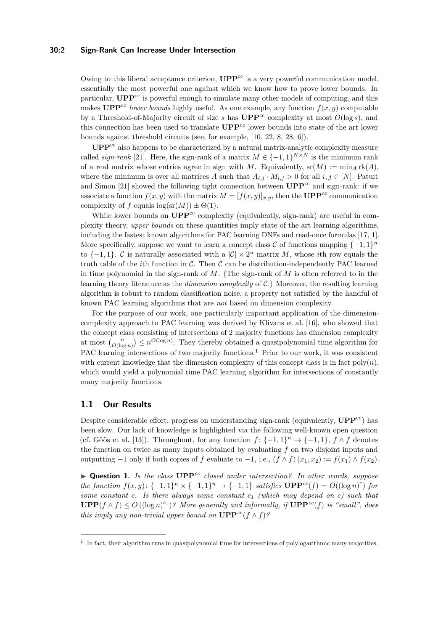### **30:2 Sign-Rank Can Increase Under Intersection**

Owing to this liberal acceptance criterion,  $\mathbf{UPP}^{\text{cc}}$  is a very powerful communication model, essentially the most powerful one against which we know how to prove lower bounds. In particular, **UPP**<sup>cc</sup> is powerful enough to simulate many other models of computing, and this makes **UPP**<sup>cc</sup> *lower bounds* highly useful. As one example, any function  $f(x, y)$  computable by a Threshold-of-Majority circuit of size  $s$  has  $\mathbf{UPP}^{\text{cc}}$  complexity at most  $O(\log s)$ , and this connection has been used to translate  $\mathbf{UPP}^{\text{cc}}$  lower bounds into state of the art lower bounds against threshold circuits (see, for example, [\[10,](#page-12-0) [22,](#page-13-2) [8,](#page-12-1) [28,](#page-13-3) [6\]](#page-12-2)).

UPP<sup>cc</sup> also happens to be characterized by a natural matrix-analytic complexity measure called *sign-rank* [\[21\]](#page-13-0). Here, the sign-rank of a matrix  $M \in \{-1,1\}^{N \times N}$  is the minimum rank of a real matrix whose entries agree in sign with *M*. Equivalently,  $sr(M) := min_A rk(A)$ , where the minimum is over all matrices *A* such that  $A_{i,j} \cdot M_{i,j} > 0$  for all  $i, j \in [N]$ . Paturi and Simon [\[21\]](#page-13-0) showed the following tight connection between  $\mathbf{UPP}^{\text{cc}}$  and sign-rank: if we associate a function  $f(x, y)$  with the matrix  $M = [f(x, y)]_{x,y}$ , then the **UPP**<sup>cc</sup> communication complexity of *f* equals  $\log(\text{sr}(M)) \pm \Theta(1)$ .

While lower bounds on  $\mathbf{UPP}^{\text{cc}}$  complexity (equivalently, sign-rank) are useful in complexity theory, *upper bounds* on these quantities imply state of the art learning algorithms, including the fastest known algorithms for PAC learning DNFs and read-once formulas [\[17,](#page-13-4) [1\]](#page-12-3). More specifically, suppose we want to learn a concept class  $\mathcal C$  of functions mapping  $\{-1,1\}^n$ to  $\{-1,1\}$ . C is naturally associated with a  $|\mathcal{C}| \times 2^n$  matrix M, whose *i*th row equals the truth table of the *i*th function in  $C$ . Then  $C$  can be distribution-independently PAC learned in time polynomial in the sign-rank of *M*. (The sign-rank of *M* is often referred to in the learning theory literature as the *dimension complexity* of C.) Moreover, the resulting learning algorithm is robust to random classification noise, a property not satisfied by the handful of known PAC learning algorithms that are *not* based on dimension complexity.

For the purpose of our work, one particularly important application of the dimensioncomplexity approach to PAC learning was derived by Klivans et al. [\[16\]](#page-13-5), who showed that the concept class consisting of intersections of 2 majority functions has dimension complexity at most  ${n \choose O(\log n)} \le n^{O(\log n)}$ . They thereby obtained a quasipolynomial time algorithm for PAC learning intersections of two majority functions.<sup>[1](#page-1-0)</sup> Prior to our work, it was consistent with current knowledge that the dimension complexity of this concept class is in fact  $poly(n)$ , which would yield a polynomial time PAC learning algorithm for intersections of constantly many majority functions.

### **1.1 Our Results**

Despite considerable effort, progress on understanding sign-rank (equivalently,  $\mathbf{UPP}^{\text{cc}}$ ) has been slow. Our lack of knowledge is highlighted via the following well-known open question (cf. Göös et al. [\[13\]](#page-12-4)). Throughout, for any function  $f: \{-1,1\}^n \to \{-1,1\}$ ,  $f \wedge f$  denotes the function on twice as many inputs obtained by evaluating *f* on two disjoint inputs and outputting −1 only if both copies of *f* evaluate to −1, i.e., (*f* ∧ *f*)(*x*1*, x*2) := *f*(*x*1) ∧ *f*(*x*2).

<span id="page-1-1"></span> $\blacktriangleright$  **Question 1.** *Is the class*  $\mathbf{UPP}^{cc}$  *closed under intersection? In other words, suppose the function*  $f(x, y)$ :  $\{-1, 1\}^n \times \{-1, 1\}^n \rightarrow \{-1, 1\}$  *satisfies*  $\text{UPP}^{cc}(f) = O((\log n)^c)$  *for some constant c. Is there always some constant c*<sup>1</sup> *(which may depend on c) such that* **UPP**( $f \wedge f$ ) ≤ *O* ((log *n*)<sup>*c*<sub>1</sub></sub>)? More generally and informally, if **UPP**<sup>*cc*</sup>(*f*) *is "small"*, does</sup> *this imply any non-trivial upper bound on*  $\mathbf{UPP}^{cc}(f \wedge f)$ ?

<span id="page-1-0"></span><sup>&</sup>lt;sup>1</sup> In fact, their algorithm runs in quasipolynomial time for intersections of polylogarithmic many majorities.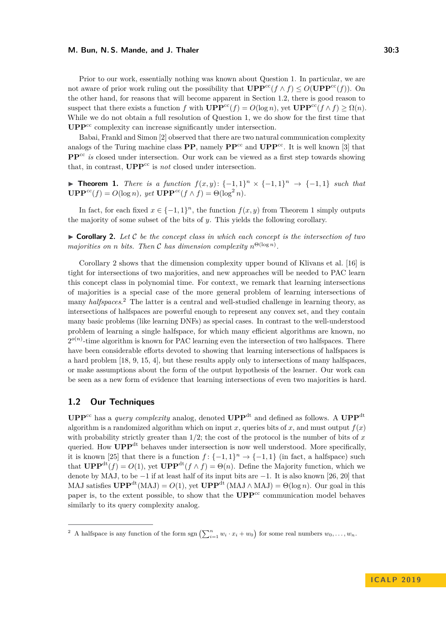Prior to our work, essentially nothing was known about Question [1.](#page-1-1) In particular, we are not aware of prior work ruling out the possibility that  $\mathbf{UPP}^{\text{cc}}(f \wedge f) \leq O(\mathbf{UPP}^{\text{cc}}(f)).$  On the other hand, for reasons that will become apparent in Section [1.2,](#page-2-0) there is good reason to suspect that there exists a function *f* with **UPP**<sup>cc</sup>(*f*) =  $O(\log n)$ , yet **UPP**<sup>cc</sup>(*f* ∧ *f*) ≥  $\Omega(n)$ . While we do not obtain a full resolution of Question [1,](#page-1-1) we do show for the first time that UPP<sup>cc</sup> complexity can increase significantly under intersection.

Babai, Frankl and Simon [\[2\]](#page-12-5) observed that there are two natural communication complexity analogs of the Turing machine class **PP**, namely  $\mathbf{PP}^{\text{cc}}$  and  $\mathbf{UPP}^{\text{cc}}$ . It is well known [\[3\]](#page-12-6) that **PP**<sup>cc</sup> *is* closed under intersection. Our work can be viewed as a first step towards showing that, in contrast,  $\mathbf{UPP}^{\text{cc}}$  is *not* closed under intersection.

<span id="page-2-1"></span>**► Theorem 1.** *There is a function*  $f(x, y)$ :  $\{-1, 1\}^n \times \{-1, 1\}^n \rightarrow \{-1, 1\}$  *such that*  $\mathbf{UPP}^{cc}(f) = O(\log n), \text{ yet } \mathbf{UPP}^{cc}(f \wedge f) = \Theta(\log^2 n).$ 

In fact, for each fixed  $x \in \{-1,1\}^n$ , the function  $f(x, y)$  from Theorem [1](#page-2-1) simply outputs the majority of some subset of the bits of *y*. This yields the following corollary.

<span id="page-2-2"></span> $\triangleright$  **Corollary 2.** Let C be the concept class in which each concept is the intersection of two *majorities on n bits.* Then C has dimension complexity  $n^{\Theta(\log n)}$ .

Corollary [2](#page-2-2) shows that the dimension complexity upper bound of Klivans et al. [\[16\]](#page-13-5) is tight for intersections of two majorities, and new approaches will be needed to PAC learn this concept class in polynomial time. For context, we remark that learning intersections of majorities is a special case of the more general problem of learning intersections of many *halfspaces*. [2](#page-2-3) The latter is a central and well-studied challenge in learning theory, as intersections of halfspaces are powerful enough to represent any convex set, and they contain many basic problems (like learning DNFs) as special cases. In contrast to the well-understood problem of learning a single halfspace, for which many efficient algorithms are known, no  $2^{o(n)}$ -time algorithm is known for PAC learning even the intersection of two halfspaces. There have been considerable efforts devoted to showing that learning intersections of halfspaces is a hard problem [\[18,](#page-13-6) [9,](#page-12-7) [15,](#page-13-7) [4\]](#page-12-8), but these results apply only to intersections of many halfspaces, or make assumptions about the form of the output hypothesis of the learner. Our work can be seen as a new form of evidence that learning intersections of even two majorities is hard.

# <span id="page-2-0"></span>**1.2 Our Techniques**

**UPP**<sup>cc</sup> has a *query complexity* analog, denoted **UPP**<sup>dt</sup> and defined as follows. A **UPP**<sup>dt</sup> algorithm is a randomized algorithm which on input *x*, queries bits of *x*, and must output  $f(x)$ with probability strictly greater than 1*/*2; the cost of the protocol is the number of bits of *x* queried. How  $\mathbf{UPP}^{\text{dt}}$  behaves under intersection is now well understood. More specifically, it is known [\[25\]](#page-13-8) that there is a function  $f: \{-1,1\}^n \to \{-1,1\}$  (in fact, a halfspace) such that  $\mathbf{UPP}^{\mathrm{dt}}(f) = O(1)$ , yet  $\mathbf{UPP}^{\mathrm{dt}}(f \wedge f) = \Theta(n)$ . Define the Majority function, which we denote by MAJ, to be −1 if at least half of its input bits are −1. It is also known [\[26,](#page-13-9) [20\]](#page-13-10) that MAJ satisfies  $\mathbf{UPP}^{\mathrm{dt}}(\mathrm{MAJ}) = O(1)$ , yet  $\mathbf{UPP}^{\mathrm{dt}}(\mathrm{MAJ} \wedge \mathrm{MAJ}) = \Theta(\log n)$ . Our goal in this paper is, to the extent possible, to show that the **UPP**<sup>cc</sup> communication model behaves similarly to its query complexity analog.

<span id="page-2-3"></span><sup>&</sup>lt;sup>2</sup> A halfspace is any function of the form sgn  $\left(\sum_{i=1}^{n} w_i \cdot x_i + w_0\right)$  for some real numbers  $w_0, \ldots, w_n$ .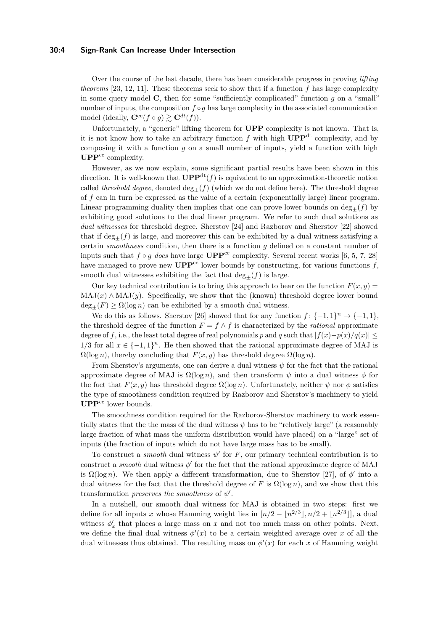#### **30:4 Sign-Rank Can Increase Under Intersection**

Over the course of the last decade, there has been considerable progress in proving *lifting theorems* [\[23,](#page-13-11) [12,](#page-12-9) [11\]](#page-12-10). These theorems seek to show that if a function *f* has large complexity in some query model  $\bf{C}$ , then for some "sufficiently complicated" function  $q$  on a "small" number of inputs, the composition *f* ◦*g* has large complexity in the associated communication model (ideally,  $\mathbf{C}^{\text{cc}}(f \circ g) \gtrsim \mathbf{C}^{dt}(f)$ ).

Unfortunately, a "generic" lifting theorem for **UPP** complexity is not known. That is, it is not know how to take an arbitrary function  $f$  with high  $\mathbf{UPP}^{\mathrm{dt}}$  complexity, and by composing it with a function *g* on a small number of inputs, yield a function with high UPP<sup>cc</sup> complexity.

However, as we now explain, some significant partial results have been shown in this direction. It is well-known that  $\mathbf{UPP}^{\mathrm{dt}}(f)$  is equivalent to an approximation-theoretic notion called *threshold degree*, denoted  $\deg_{+}(f)$  (which we do not define here). The threshold degree of *f* can in turn be expressed as the value of a certain (exponentially large) linear program. Linear programming duality then implies that one can prove lower bounds on  $\deg_{+}(f)$  by exhibiting good solutions to the dual linear program. We refer to such dual solutions as *dual witnesses* for threshold degree. Sherstov [\[24\]](#page-13-12) and Razborov and Sherstov [\[22\]](#page-13-2) showed that if  $\deg_{+}(f)$  is large, and moreover this can be exhibited by a dual witness satisfying a certain *smoothness* condition, then there is a function *g* defined on a constant number of inputs such that  $f \circ g$  *does* have large  $\text{UPP}^{\text{cc}}$  complexity. Several recent works [\[6,](#page-12-2) [5,](#page-12-11) [7,](#page-12-12) [28\]](#page-13-3) have managed to prove new  $\mathbf{UPP}^{\text{cc}}$  lower bounds by constructing, for various functions  $f$ , smooth dual witnesses exhibiting the fact that  $\deg_+(f)$  is large.

Our key technical contribution is to bring this approach to bear on the function  $F(x, y) =$  $MAJ(x) \wedge MAJ(y)$ . Specifically, we show that the (known) threshold degree lower bound  $deg_{+}(F) \geq \Omega(\log n)$  can be exhibited by a smooth dual witness.

We do this as follows. Sherstov [\[26\]](#page-13-9) showed that for any function  $f: \{-1,1\}^n \to \{-1,1\}$ , the threshold degree of the function  $F = f \wedge f$  is characterized by the *rational* approximate degree of *f*, i.e., the least total degree of real polynomials *p* and *q* such that  $|f(x)-p(x)/q(x)| \le$  $1/3$  for all  $x \in \{-1,1\}^n$ . He then showed that the rational approximate degree of MAJ is  $\Omega(\log n)$ , thereby concluding that  $F(x, y)$  has threshold degree  $\Omega(\log n)$ .

From Sherstov's arguments, one can derive a dual witness *ψ* for the fact that the rational approximate degree of MAJ is  $\Omega(\log n)$ , and then transform  $\psi$  into a dual witness  $\phi$  for the fact that  $F(x, y)$  has threshold degree  $\Omega(\log n)$ . Unfortunately, neither  $\psi$  nor  $\phi$  satisfies the type of smoothness condition required by Razborov and Sherstov's machinery to yield UPP<sup>cc</sup> lower bounds.

The smoothness condition required for the Razborov-Sherstov machinery to work essentially states that the the mass of the dual witness *ψ* has to be "relatively large" (a reasonably large fraction of what mass the uniform distribution would have placed) on a "large" set of inputs (the fraction of inputs which do not have large mass has to be small).

To construct a *smooth* dual witness  $\psi$  for *F*, our primary technical contribution is to construct a *smooth* dual witness  $\phi'$  for the fact that the rational approximate degree of MAJ is  $\Omega(\log n)$ . We then apply a different transformation, due to Sherstov [\[27\]](#page-13-13), of  $\phi'$  into a dual witness for the fact that the threshold degree of *F* is  $\Omega(\log n)$ , and we show that this transformation *preserves the smoothness* of  $\psi'$ .

In a nutshell, our smooth dual witness for MAJ is obtained in two steps: first we define for all inputs *x* whose Hamming weight lies in  $\left[ n/2 - \lfloor n^{2/3} \rfloor, n/2 + \lfloor n^{2/3} \rfloor \right]$ , a dual witness  $\phi'_x$  that places a large mass on  $x$  and not too much mass on other points. Next, we define the final dual witness  $\phi'(x)$  to be a certain weighted average over *x* of all the dual witnesses thus obtained. The resulting mass on  $\phi'(x)$  for each x of Hamming weight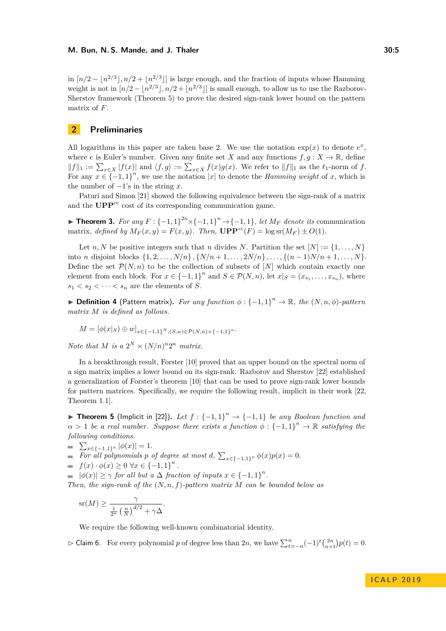in  $\left\lfloor n/2 - \lfloor n^{2/3} \rfloor, n/2 + \lfloor n^{2/3} \rfloor \right\rfloor$  is large enough, and the fraction of inputs whose Hamming weight is not in  $\left\lfloor n/2 - \lfloor n^{2/3} \rfloor, n/2 + \lfloor n^{2/3} \rfloor \right\rfloor$  is small enough, to allow us to use the Razborov-Sherstov framework (Theorem [5\)](#page-4-0) to prove the desired sign-rank lower bound on the pattern matrix of *F*.

# **2 Preliminaries**

All logarithms in this paper are taken base 2. We use the notation  $exp(x)$  to denote  $e^x$ , where *e* is Euler's number. Given any finite set *X* and any functions  $f, g: X \to \mathbb{R}$ , define  $||f||_1 := \sum_{x \in X} |f(x)|$  and  $\langle f, g \rangle := \sum_{x \in X} f(x)g(x)$ . We refer to  $||f||_1$  as the  $\ell_1$ -norm of *f*. For any  $x \in \{-1,1\}^n$ , we use the notation |*x*| to denote the *Hamming weight* of *x*, which is the number of  $-1$ 's in the string  $x$ .

Paturi and Simon [\[21\]](#page-13-0) showed the following equivalence between the sign-rank of a matrix and the  $\mathbf{UPP}^{\text{cc}}$  cost of its corresponding communication game.

<span id="page-4-2"></span>▶ **Theorem 3.** *For any*  $F: \{-1,1\}^{2n} \times \{-1,1\}^{n} \rightarrow \{-1,1\}$ , *let*  $M_F$  *denote its* communication matrix, defined by  $M_F(x, y) = F(x, y)$ . Then,  $\mathbf{UPP}^{cc}(F) = \log \mathrm{sr}(M_F) \pm O(1)$ .

Let *n*, *N* be positive integers such that *n* divides *N*. Partition the set  $[N] := \{1, \ldots, N\}$ into *n* disjoint blocks  $\{1, 2, \ldots, N/n\}$ ,  $\{N/n + 1, \ldots, 2N/n\}$ , ...,  $\{(n-1)N/n + 1, \ldots, N\}$ . Define the set  $\mathcal{P}(N,n)$  to be the collection of subsets of [*N*] which contain exactly one element from each block. For  $x \in \{-1,1\}^n$  and  $S \in \mathcal{P}(N,n)$ , let  $x|_{S} = (x_{s_1}, \ldots, x_{s_n})$ , where  $s_1 < s_2 < \cdots < s_n$  are the elements of *S*.

<span id="page-4-1"></span>**▶ Definition 4** (Pattern matrix). For any function  $\phi$  : {-1, 1}<sup>n</sup> → R, the (*N*, *n*,  $\phi$ )-pattern *matrix M is defined as follows.*

$$
M = [\phi(x|_S) \oplus w]_{x \in \{-1,1\}^N, (S,w) \in \mathcal{P}(N,n) \times \{-1,1\}^n}.
$$

*Note that M is a*  $2^N \times (N/n)^n 2^n$  *matrix.* 

In a breakthrough result, Forster [\[10\]](#page-12-0) proved that an upper bound on the spectral norm of a sign matrix implies a lower bound on its sign-rank. Razborov and Sherstov [\[22\]](#page-13-2) established a generalization of Forster's theorem [\[10\]](#page-12-0) that can be used to prove sign-rank lower bounds for pattern matrices. Specifically, we require the following result, implicit in their work [\[22,](#page-13-2) Theorem 1.1].

<span id="page-4-0"></span>**► Theorem 5** (Implicit in [\[22\]](#page-13-2)). Let  $f : \{-1,1\}^n \rightarrow \{-1,1\}$  be any Boolean function and  $\alpha > 1$  *be a real number. Suppose there exists a function*  $\phi : \{-1,1\}^n \to \mathbb{R}$  *satisfying the following conditions.*

 $\sum_{x \in \{-1,1\}^n} |\phi(x)| = 1.$ 

*For all polynomials p of degree at most d*,  $\sum_{x \in \{-1,1\}^n} \phi(x)p(x) = 0$ .

$$
= f(x) \cdot \phi(x) \ge 0 \,\forall x \in \{-1,1\}^n.
$$

 $|\phi(x)| \geq \gamma$  *for all but a*  $\Delta$  *fraction of inputs*  $x \in \{-1,1\}^n$ .

*Then, the sign-rank of the* (*N, n, f*)*-pattern matrix M can be bounded below as*

$$
\operatorname{sr}(M) \ge \frac{\gamma}{\frac{1}{2^n} \left(\frac{n}{N}\right)^{d/2} + \gamma \Delta}.
$$

We require the following well-known combinatorial identity.

<span id="page-4-3"></span> $\triangleright$  Claim 6. For every polynomial *p* of degree less than 2*n*, we have  $\sum_{t=-n}^{n} (-1)^{t} {2n \choose n+t} p(t) = 0$ .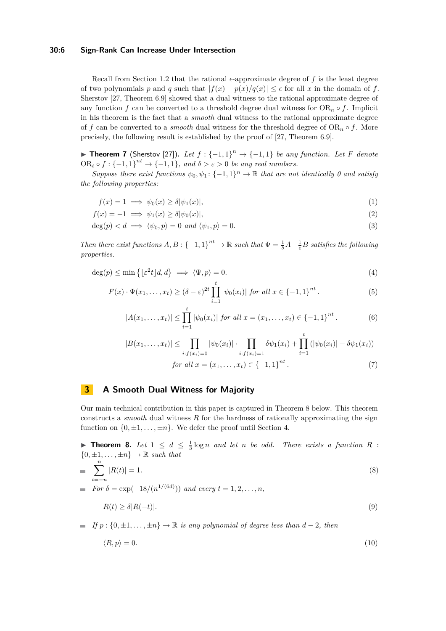### **30:6 Sign-Rank Can Increase Under Intersection**

Recall from Section [1.2](#page-2-0) that the rational  $\epsilon$ -approximate degree of  $f$  is the least degree of two polynomials *p* and *q* such that  $|f(x) - p(x)/q(x)| \le \epsilon$  for all *x* in the domain of *f*. Sherstov [\[27,](#page-13-13) Theorem 6.9] showed that a dual witness to the rational approximate degree of any function *f* can be converted to a threshold degree dual witness for  $OR_n \circ f$ . Implicit in his theorem is the fact that a *smooth* dual witness to the rational approximate degree of *f* can be converted to a *smooth* dual witness for the threshold degree of  $OR_n \circ f$ . More precisely, the following result is established by the proof of [\[27,](#page-13-13) Theorem 6.9].

<span id="page-5-4"></span>**► Theorem 7** (Sherstov [\[27\]](#page-13-13)). Let  $f: \{-1, 1\}^n \rightarrow \{-1, 1\}$  be any function. Let F denote OR<sub>t</sub>  $\circ$   $f$  : {-1, 1}<sup>nt</sup>  $\rightarrow$  {-1, 1}*,* and  $\delta > \varepsilon > 0$  be any real numbers.

*Suppose there exist functions*  $\psi_0, \psi_1: \{-1, 1\}^n \to \mathbb{R}$  that are not identically 0 and satisfy *the following properties:*

$$
f(x) = 1 \implies \psi_0(x) \ge \delta |\psi_1(x)|,\tag{1}
$$

$$
f(x) = -1 \implies \psi_1(x) \ge \delta |\psi_0(x)|,\tag{2}
$$

$$
\deg(p) < d \implies \langle \psi_0, p \rangle = 0 \text{ and } \langle \psi_1, p \rangle = 0. \tag{3}
$$

*Then there exist functions*  $A, B: \{-1, 1\}^{nt} \to \mathbb{R}$  *such that*  $\Psi = \frac{1}{\delta}A - \frac{1}{\epsilon}B$  *satisfies the following properties.*

$$
\deg(p) \le \min\left\{ \lfloor \varepsilon^2 t \rfloor d, d \right\} \implies \langle \Psi, p \rangle = 0. \tag{4}
$$

$$
F(x) \cdot \Psi(x_1, \dots, x_t) \ge (\delta - \varepsilon)^{2t} \prod_{i=1}^t |\psi_0(x_i)| \text{ for all } x \in \{-1, 1\}^{nt}.
$$
 (5)

<span id="page-5-10"></span><span id="page-5-9"></span><span id="page-5-8"></span><span id="page-5-7"></span><span id="page-5-6"></span><span id="page-5-5"></span>
$$
|A(x_1,\ldots,x_t)| \leq \prod_{i=1}^t |\psi_0(x_i)| \text{ for all } x = (x_1,\ldots,x_t) \in \{-1,1\}^{nt}. \tag{6}
$$

<span id="page-5-11"></span>
$$
|B(x_1,\ldots,x_t)| \leq \prod_{i:f(x_i)=0} |\psi_0(x_i)| \cdot \prod_{i:f(x_i)=1} \delta \psi_1(x_i) + \prod_{i=1}^t (|\psi_0(x_i)| - \delta \psi_1(x_i))
$$
  
for all  $x = (x_1,\ldots,x_t) \in \{-1,1\}^{nt}$ . (7)

# **3 A Smooth Dual Witness for Majority**

Our main technical contribution in this paper is captured in Theorem [8](#page-5-0) below. This theorem constructs a *smooth* dual witness *R* for the hardness of rationally approximating the sign function on  $\{0, \pm 1, \ldots, \pm n\}$ . We defer the proof until Section [4.](#page-8-0)

<span id="page-5-0"></span>**Fineorem 8.** Let  $1 \leq d \leq \frac{1}{3} \log n$  and let *n* be odd. There exists a function R :  $\{0, \pm 1, \ldots, \pm n\} \rightarrow \mathbb{R}$  *such that* 

$$
= \sum_{t=-n}^{n} |R(t)| = 1.
$$
 (8)

*For*  $\delta = \exp(-18/(n^{1/(6d)}))$  *and every*  $t = 1, 2, ..., n$ ,

<span id="page-5-2"></span><span id="page-5-1"></span>
$$
R(t) \ge \delta |R(-t)|. \tag{9}
$$

 $\blacksquare$  *If*  $p : \{0, \pm 1, \ldots, \pm n\} \to \mathbb{R}$  *is any polynomial of degree less than*  $d - 2$ *, then* 

<span id="page-5-3"></span>
$$
\langle R, p \rangle = 0. \tag{10}
$$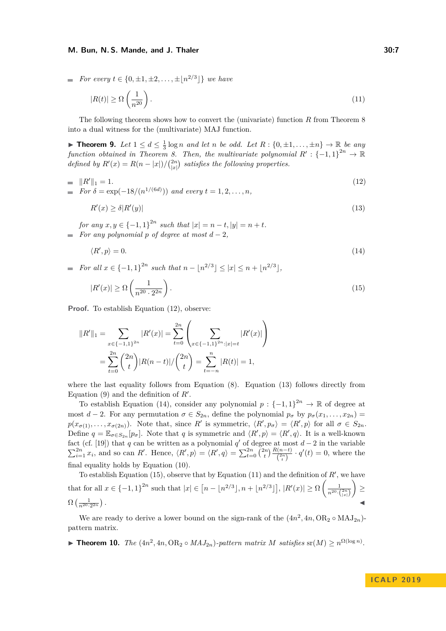#### **M. Bun, N. S. Mande, and J. Thaler 30:7 30:7 30:7**

■ For every 
$$
t \in \{0, \pm 1, \pm 2, ..., \pm |n^{2/3}|\}
$$
 we have

<span id="page-6-4"></span>
$$
|R(t)| \ge \Omega\left(\frac{1}{n^{20}}\right). \tag{11}
$$

The following theorem shows how to convert the (univariate) function *R* from Theorem [8](#page-5-0) into a dual witness for the (multivariate) MAJ function.

▶ **Theorem 9.** Let  $1 \le d \le \frac{1}{3} \log n$  and let *n* be odd. Let  $R : \{0, \pm 1, \ldots, \pm n\} \rightarrow \mathbb{R}$  be any *function obtained in Theorem [8.](#page-5-0) Then, the multivariate polynomial*  $R' : \{-1,1\}^{2n} \to \mathbb{R}$ *defined by*  $R'(x) = R(n - |x|)/\binom{2n}{|x|}$  *satisfies the following properties.* 

= 
$$
||R'||_1 = 1.
$$
  
\n= For  $\delta = \exp(-18/(n^{1/(6d)}))$  and every  $t = 1, 2, ..., n,$  (12)

<span id="page-6-1"></span><span id="page-6-0"></span>
$$
R'(x) \ge \delta |R'(y)|\tag{13}
$$

*for* any  $x, y \in \{-1, 1\}^{2n}$  such that  $|x| = n - t, |y| = n + t$ . *For any polynomial*  $p$  *of degree at most*  $d-2$ *,* 

<span id="page-6-3"></span><span id="page-6-2"></span>
$$
\langle R', p \rangle = 0. \tag{14}
$$

*For all*  $x \in \{-1, 1\}^{2n}$  *such that*  $n - |n^{2/3}| \leq |x| \leq n + |n^{2/3}|$ ,

$$
|R'(x)| \ge \Omega\left(\frac{1}{n^{20} \cdot 2^{2n}}\right). \tag{15}
$$

**Proof.** To establish Equation [\(12\)](#page-6-0), observe:

$$
||R'||_1 = \sum_{x \in \{-1,1\}^{2n}} |R'(x)| = \sum_{t=0}^{2n} \left( \sum_{x \in \{-1,1\}^{2n} : |x|=t} |R'(x)| \right)
$$
  
= 
$$
\sum_{t=0}^{2n} {2n \choose t} |R(n-t)| / {2n \choose t} = \sum_{t=-n}^{n} |R(t)| = 1,
$$

where the last equality follows from Equation  $(8)$ . Equation  $(13)$  follows directly from Equation  $(9)$  and the definition of  $R'$ .

To establish Equation [\(14\)](#page-6-2), consider any polynomial  $p: \{-1,1\}^{2n} \to \mathbb{R}$  of degree at most *d* − 2. For any permutation  $\sigma \in S_{2n}$ , define the polynomial  $p_{\sigma}$  by  $p_{\sigma}(x_1, \ldots, x_{2n}) =$  $p(x_{\sigma(1)},...,x_{\sigma(2n)})$ . Note that, since *R*<sup>*i*</sup> is symmetric,  $\langle R',p_{\sigma} \rangle = \langle R',p \rangle$  for all  $\sigma \in S_{2n}$ . Define  $q = \mathbb{E}_{\sigma \in S_{2n}}[p_{\sigma}]$ . Note that *q* is symmetric and  $\langle R', p \rangle = \langle R', q \rangle$ . It is a well-known fact (cf. [\[19\]](#page-13-14)) that *q* can be written as a polynomial *q'* of degree at most  $d-2$  in the variable  $\sum_{i=1}^{2n} x_i$ , and so can R'. Hence,  $\langle R', p \rangle = \langle R', q \rangle = \sum_{t=0}^{2n} {2n \choose t} \frac{R(n-t)}{2n \choose t} \cdot q'(t) = 0$ , where the final equality holds by Equation [\(10\)](#page-5-3).

To establish Equation  $(15)$ , observe that by Equation  $(11)$  and the definition of  $R'$ , we have that for all  $x \in \{-1, 1\}^{2n}$  such that  $|x| \in [n - \lfloor n^{2/3} \rfloor, n + \lfloor n^{2/3} \rfloor], |R'(x)| \ge \Omega \left( \frac{1}{n^{20} \cdot \binom{2n}{\lfloor x \rfloor}} \right)$  ≥  $\Omega\left(\frac{1}{n^{20}\cdot 2^{2n}}\right)$ *.* J

We are ready to derive a lower bound on the sign-rank of the  $(4n^2, 4n, OR_2 \circ MAJ_{2n})$ pattern matrix.

<span id="page-6-5"></span>▶ **Theorem 10.** *The*  $(4n^2, 4n, \text{OR}_2 \circ MAJ_{2n})$ -pattern matrix *M* satisfies sr(*M*) ≥  $n^{\Omega(\log n)}$ .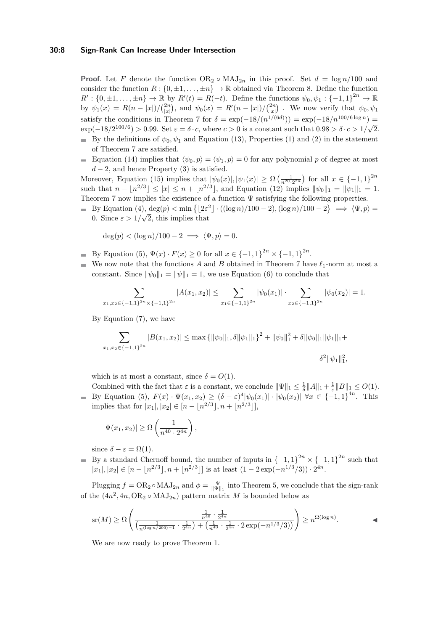#### **30:8 Sign-Rank Can Increase Under Intersection**

**Proof.** Let F denote the function  $OR_2 \circ MAJ_{2n}$  in this proof. Set  $d = \log n/100$  and consider the function  $R: \{0, \pm 1, \ldots, \pm n\} \to \mathbb{R}$  obtained via Theorem [8.](#page-5-0) Define the function  $R': \{0, \pm 1, \ldots, \pm n\} \to \mathbb{R}$  by  $R'(t) = R(-t)$ . Define the functions  $\psi_0, \psi_1 : \{-1, 1\}^{2n} \to \mathbb{R}$ by  $\psi_1(x) = R(n-|x|)/\binom{2n}{|x|}$ , and  $\psi_0(x) = R'(n-|x|)/\binom{2n}{|x|}$ . We now verify that  $\psi_0, \psi_1$ satisfy the conditions in Theorem [7](#page-5-4) for  $\delta = \exp(-18/(n^{1/(6d)})) = \exp(-18/n^{100/6 \log n}) =$  $\exp(-18/2^{100/6}) > 0.99$ . Set  $\varepsilon = \delta \cdot c$ , where  $c > 0$  is a constant such that  $0.98 > \delta \cdot c > 1/\sqrt{2}$ . By the definitions of  $\psi_0, \psi_1$  and Equation [\(13\)](#page-6-1), Properties [\(1\)](#page-5-5) and [\(2\)](#page-5-6) in the statement of Theorem [7](#page-5-4) are satisfied.

Equation [\(14\)](#page-6-2) implies that  $\langle \psi_0, p \rangle = \langle \psi_1, p \rangle = 0$  for any polynomial *p* of degree at most  $d-2$ , and hence Property [\(3\)](#page-5-7) is satisfied.

Moreover, Equation [\(15\)](#page-6-3) implies that  $|\psi_0(x)|, |\psi_1(x)| \ge \Omega\left(\frac{1}{n^{20} \cdot 2^{2n}}\right)$  for all  $x \in \{-1, 1\}^{2n}$ such that  $n - \lfloor n^{2/3} \rfloor \leq |x| \leq n + \lfloor n^{2/3} \rfloor$ , and Equation [\(12\)](#page-6-0) implies  $\|\psi_0\|_1 = \|\psi_1\|_1 = 1$ . Theorem [7](#page-5-4) now implies the existence of a function  $\Psi$  satisfying the following properties.

By Equation [\(4\)](#page-5-8),  $\deg(p) < \min\left\{ \lfloor 2\varepsilon^2 \rfloor \cdot ((\log n)/100 - 2), (\log n)/100 - 2 \right\} \implies \langle \Psi, p \rangle =$ 0. Since  $\varepsilon > 1/\sqrt{2}$ , this implies that

 $deg(p) < (log n)/100 - 2 \implies \langle \Psi, p \rangle = 0.$ 

- By Equation [\(5\)](#page-5-9),  $\Psi(x) \cdot F(x) \ge 0$  for all  $x \in \{-1, 1\}^{2n} \times \{-1, 1\}^{2n}$ .
- We now note that the functions *A* and *B* obtained in Theorem [7](#page-5-4) have  $\ell_1$ -norm at most a constant. Since  $\|\psi_0\|_1 = \|\psi\|_1 = 1$ , we use Equation [\(6\)](#page-5-10) to conclude that

$$
\sum_{x_1,x_2 \in \{-1,1\}^{2n} \times \{-1,1\}^{2n}} |A(x_1,x_2)| \leq \sum_{x_1 \in \{-1,1\}^{2n}} |\psi_0(x_1)| \cdot \sum_{x_2 \in \{-1,1\}^{2n}} |\psi_0(x_2)| = 1.
$$

By Equation [\(7\)](#page-5-11), we have

$$
\sum_{x_1, x_2 \in \{-1, 1\}^{2n}} |B(x_1, x_2)| \le \max \{ \|\psi_0\|_1, \delta \|\psi_1\|_1 \}^2 + \|\psi_0\|_1^2 + \delta \|\psi_0\|_1 \|\psi_1\|_1 +
$$

 $\delta^2 \|\psi_1\|_1^2,$ 

which is at most a constant, since  $\delta = O(1)$ .

Combined with the fact that  $\varepsilon$  is a constant, we conclude  $\|\Psi\|_1 \leq \frac{1}{\delta} \|A\|_1 + \frac{1}{\varepsilon} \|B\|_1 \leq O(1)$ . By Equation [\(5\)](#page-5-9),  $F(x) \cdot \Psi(x_1, x_2) \ge (\delta - \varepsilon)^4 |\psi_0(x_1)| \cdot |\psi_0(x_2)| \,\forall x \in \{-1, 1\}^{4n}$ . This implies that for  $|x_1|, |x_2| \in [n - \lfloor n^{2/3} \rfloor, n + \lfloor n^{2/3} \rfloor]$ ,

$$
|\Psi(x_1, x_2)| \ge \Omega\left(\frac{1}{n^{40} \cdot 2^{4n}}\right),\,
$$

since  $\delta - \varepsilon = \Omega(1)$ .

By a standard Chernoff bound, the number of inputs in  ${-1, 1}^{2n} \times {-1, 1}^{2n}$  such that  $|x_1|, |x_2| \in [n - \lfloor n^{2/3} \rfloor, n + \lfloor n^{2/3} \rfloor]$  is at least  $(1 - 2\exp(-n^{1/3}/3)) \cdot 2^{4n}$ .

Plugging  $f = \text{OR}_2 \circ \text{MAJ}_{2n}$  and  $\phi = \frac{\Psi}{\|\Psi\|_1}$  into Theorem [5,](#page-4-0) we conclude that the sign-rank of the  $(4n^2, 4n, OR_2 \circ MAJ_{2n})$  pattern matrix *M* is bounded below as

$$
sr(M) \ge \Omega \left( \frac{\frac{1}{n^{40}} \cdot \frac{1}{2^{4n}}}{\left(\frac{1}{n^{(\log n/200)-1}} \cdot \frac{1}{2^{4n}}\right) + \left(\frac{1}{n^{40}} \cdot \frac{1}{2^{4n}} \cdot 2 \exp(-n^{1/3}/3)\right)} \right) \ge n^{\Omega(\log n)}.
$$

We are now ready to prove Theorem [1.](#page-2-1)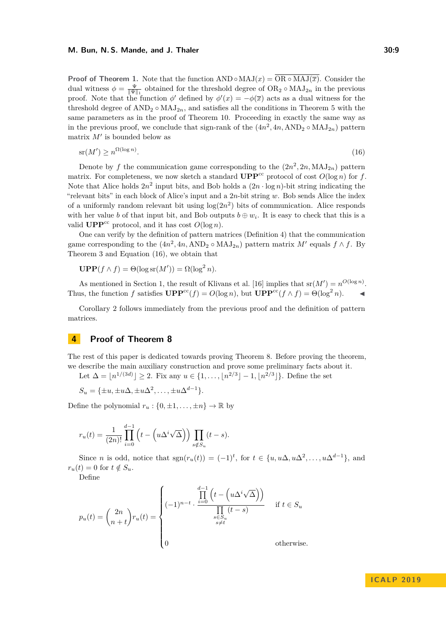**Proof of Theorem [1.](#page-2-1)** Note that the function  $AND \circ MAJ(x) = OR \circ MAJ(\overline{x})$ . Consider the dual witness  $\phi = \frac{\Psi}{\|\Psi\|_1}$  obtained for the threshold degree of  $OR_2 \circ MAJ_{2n}$  in the previous proof. Note that the function  $\phi'$  defined by  $\phi'(x) = -\phi(\overline{x})$  acts as a dual witness for the threshold degree of  $AND_2 \circ MAJ_{2n}$ , and satisfies all the conditions in Theorem [5](#page-4-0) with the same parameters as in the proof of Theorem [10.](#page-6-5) Proceeding in exactly the same way as in the previous proof, we conclude that sign-rank of the  $(4n^2, 4n, \text{AND}_2 \circ \text{MAJ}_{2n})$  pattern matrix  $M'$  is bounded below as

<span id="page-8-1"></span>
$$
\operatorname{sr}(M') \ge n^{\Omega(\log n)}.\tag{16}
$$

Denote by f the communication game corresponding to the  $(2n^2, 2n, MAJ_{2n})$  pattern matrix. For completeness, we now sketch a standard  $\mathbf{UPP}^{\text{cc}}$  protocol of cost  $O(\log n)$  for *f*. Note that Alice holds  $2n^2$  input bits, and Bob holds a  $(2n \cdot \log n)$ -bit string indicating the "relevant bits" in each block of Alice's input and a 2*n*-bit string *w*. Bob sends Alice the index of a uniformly random relevant bit using  $log(2n^2)$  bits of communication. Alice responds with her value *b* of that input bit, and Bob outputs  $b \oplus w_i$ . It is easy to check that this is a valid **UPP**<sup>cc</sup> protocol, and it has cost  $O(\log n)$ .

One can verify by the definition of pattern matrices (Definition [4\)](#page-4-1) that the communication game corresponding to the  $(4n^2, 4n, \text{AND}_2 \circ \text{MAJ}_{2n})$  pattern matrix  $M'$  equals  $f \wedge f$ . By Theorem [3](#page-4-2) and Equation [\(16\)](#page-8-1), we obtain that

$$
\mathbf{UPP}(f \wedge f) = \Theta(\log \operatorname{sr}(M')) = \Omega(\log^2 n).
$$

As mentioned in Section [1,](#page-0-0) the result of Klivans et al. [\[16\]](#page-13-5) implies that  $\text{sr}(M') = n^{O(\log n)}$ . Thus, the function *f* satisfies  $\mathbf{UPP}^{\text{cc}}(f) = O(\log n)$ , but  $\mathbf{UPP}^{\text{cc}}(f \wedge f) = \Theta(\log^2 n)$ .

Corollary [2](#page-2-2) follows immediately from the previous proof and the definition of pattern matrices.

# <span id="page-8-0"></span>**4 Proof of Theorem [8](#page-5-0)**

The rest of this paper is dedicated towards proving Theorem [8.](#page-5-0) Before proving the theorem, we describe the main auxiliary construction and prove some preliminary facts about it.

Let  $\Delta = [n^{1/(3d)}] \geq 2$ . Fix any  $u \in \{1, ..., [n^{2/3}] - 1, [n^{2/3}]\}$ . Define the set

 $S_u = {\pm u, \pm u\Delta, \pm u\Delta^2, \dots, \pm u\Delta^{d-1}}.$ 

Define the polynomial  $r_u : \{0, \pm 1, \ldots, \pm n\} \to \mathbb{R}$  by

$$
r_u(t) = \frac{1}{(2n)!} \prod_{i=0}^{d-1} \left( t - \left( u \Delta^i \sqrt{\Delta} \right) \right) \prod_{s \notin S_u} (t - s).
$$

Since *n* is odd, notice that  $sgn(r_u(t)) = (-1)^t$ , for  $t \in \{u, u\Delta, u\Delta^2, \dots, u\Delta^{d-1}\}$ , and  $r_u(t) = 0$  for  $t \notin S_u$ .

Define

$$
p_u(t) = \binom{2n}{n+t} r_u(t) = \begin{cases} (-1)^{n-t} \cdot \frac{\prod\limits_{i=0}^{d-1} \left( t - \left( u \Delta^i \sqrt{\Delta} \right) \right)}{\prod\limits_{\substack{s \in S_u \\ s \neq t}}} & \text{if } t \in S_u \\ 0 & \text{otherwise.} \end{cases}
$$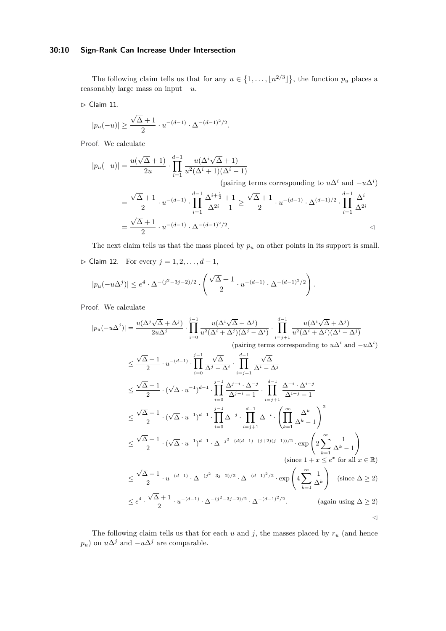### **30:10 Sign-Rank Can Increase Under Intersection**

The following claim tells us that for any  $u \in \{1, ..., \lfloor n^{2/3} \rfloor\}$ , the function  $p_u$  places a reasonably large mass on input −*u*.

<span id="page-9-1"></span> $\triangleright$  Claim 11.

$$
|p_u(-u)| \ge \frac{\sqrt{\Delta}+1}{2} \cdot u^{-(d-1)} \cdot \Delta^{-(d-1)^2/2}.
$$

Proof. We calculate

$$
|p_u(-u)| = \frac{u(\sqrt{\Delta}+1)}{2u} \cdot \prod_{i=1}^{d-1} \frac{u(\Delta^i \sqrt{\Delta}+1)}{u^2(\Delta^i+1)(\Delta^i-1)}
$$
  
\n(pairing terms corresponding to  $u\Delta^i$  and  $-u\Delta^i$ )  
\n
$$
= \frac{\sqrt{\Delta}+1}{2} \cdot u^{-(d-1)} \cdot \prod_{i=1}^{d-1} \frac{\Delta^{i+\frac{1}{2}}+1}{\Delta^{2i}-1} \ge \frac{\sqrt{\Delta}+1}{2} \cdot u^{-(d-1)} \cdot \Delta^{(d-1)/2} \cdot \prod_{i=1}^{d-1} \frac{\Delta^i}{\Delta^{2i}}
$$
  
\n
$$
= \frac{\sqrt{\Delta}+1}{2} \cdot u^{-(d-1)} \cdot \Delta^{-(d-1)^2/2}.
$$

The next claim tells us that the mass placed by  $p<sub>u</sub>$  on other points in its support is small.

<span id="page-9-2"></span>B Claim 12. For every *j* = 1*,* 2*, . . . , d* − 1,

$$
|p_u(-u\Delta^j)| \le e^4 \cdot \Delta^{-(j^2-3j-2)/2} \cdot \left(\frac{\sqrt{\Delta}+1}{2} \cdot u^{-(d-1)} \cdot \Delta^{-(d-1)^2/2}\right).
$$

Proof. We calculate

$$
|p_u(-u\Delta^j)| = \frac{u(\Delta^j \sqrt{\Delta} + \Delta^j)}{2u\Delta^j} \cdot \prod_{i=0}^{j-1} \frac{u(\Delta^i \sqrt{\Delta} + \Delta^j)}{u^2(\Delta^i + \Delta^j)(\Delta^j - \Delta^i)} \cdot \prod_{i=j+1}^{d-1} \frac{u(\Delta^i \sqrt{\Delta} + \Delta^j)}{u^2(\Delta^i + \Delta^j)(\Delta^i - \Delta^j)}
$$
\n(pairing terms corresponding to  $u\Delta^i$  and  $-u\Delta^i$ )

\n
$$
\leq \frac{\sqrt{\Delta} + 1}{2} \cdot u^{-(d-1)} \cdot \prod_{i=0}^{j-1} \frac{\sqrt{\Delta}}{\Delta^j - \Delta^i} \cdot \prod_{i=j+1}^{d-1} \frac{\sqrt{\Delta}}{\Delta^i - \Delta^j}
$$
\n
$$
\leq \frac{\sqrt{\Delta} + 1}{2} \cdot (\sqrt{\Delta} \cdot u^{-1})^{d-1} \cdot \prod_{i=0}^{j-1} \frac{\Delta^{j-i} \cdot \Delta^{-j}}{\Delta^{j-i-1}} \cdot \prod_{i=j+1}^{d-1} \frac{\Delta^{-i} \cdot \Delta^{i-j}}{\Delta^{i-j-1}}
$$
\n
$$
\leq \frac{\sqrt{\Delta} + 1}{2} \cdot (\sqrt{\Delta} \cdot u^{-1})^{d-1} \cdot \prod_{i=0}^{j-1} \Delta^{-j} \cdot \prod_{i=j+1}^{d-1} \Delta^{-i} \cdot \left(\prod_{k=1}^{\infty} \frac{\Delta^k}{\Delta^k - 1}\right)^2
$$
\n
$$
\leq \frac{\sqrt{\Delta} + 1}{2} \cdot (\sqrt{\Delta} \cdot u^{-1})^{d-1} \cdot \Delta^{-j^2 - (d(d-1) - (j+2)(j+1))/2} \cdot \exp\left(2\sum_{k=1}^{\infty} \frac{1}{\Delta^k - 1}\right)
$$
\n(since  $1 + x \leq e^x$  for all  $x \in \mathbb{R}$ )

\n
$$
\leq \frac{\sqrt{\Delta} + 1}{2} \cdot u^{-(d-1)} \cdot \Delta^{-(j^2 - 3j - 2)/2} \cdot \Delta^{-(d-1)^2/2} \cdot \exp\left(4\sum_{k=1}^{\infty} \frac{1}{\Delta^k}\right) \quad \text
$$

<span id="page-9-0"></span>The following claim tells us that for each  $u$  and  $j$ , the masses placed by  $r_u$  (and hence *p*<sub>*u*</sub>) on  $u\Delta$ <sup>*j*</sup> and  $-u\Delta$ <sup>*j*</sup> are comparable.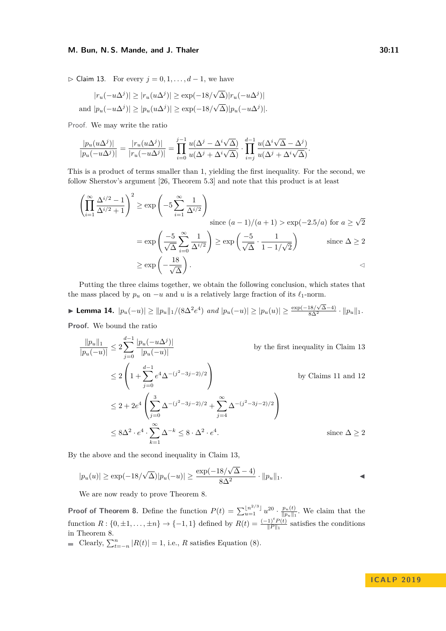$\triangleright$  Claim 13. For every  $j = 0, 1, \ldots, d - 1$ , we have

$$
|r_u(-u\Delta^j)| \ge |r_u(u\Delta^j)| \ge \exp(-18/\sqrt{\Delta})|r_u(-u\Delta^j)|
$$
  
and 
$$
|p_u(-u\Delta^j)| \ge |p_u(u\Delta^j)| \ge \exp(-18/\sqrt{\Delta})|p_u(-u\Delta^j)|.
$$

Proof. We may write the ratio

$$
\frac{|p_u(u\Delta^j)|}{|p_u(-u\Delta^j)|} = \frac{|r_u(u\Delta^j)|}{|r_u(-u\Delta^j)|} = \prod_{i=0}^{j-1} \frac{u(\Delta^j - \Delta^i \sqrt{\Delta})}{u(\Delta^j + \Delta^i \sqrt{\Delta})} \cdot \prod_{i=j}^{d-1} \frac{u(\Delta^i \sqrt{\Delta} - \Delta^j)}{u(\Delta^j + \Delta^i \sqrt{\Delta})}.
$$

This is a product of terms smaller than 1, yielding the first inequality. For the second, we follow Sherstov's argument [\[26,](#page-13-9) Theorem 5.3] and note that this product is at least

$$
\left(\prod_{i=1}^{\infty} \frac{\Delta^{i/2} - 1}{\Delta^{i/2} + 1}\right)^2 \ge \exp\left(-5\sum_{i=1}^{\infty} \frac{1}{\Delta^{i/2}}\right)
$$
  
since  $(a - 1)/(a + 1) > \exp(-2.5/a)$  for  $a \ge \sqrt{2}$   

$$
= \exp\left(\frac{-5}{\sqrt{\Delta}} \sum_{i=0}^{\infty} \frac{1}{\Delta^{i/2}}\right) \ge \exp\left(\frac{-5}{\sqrt{\Delta}} \cdot \frac{1}{1 - 1/\sqrt{2}}\right)
$$
 since  $\Delta \ge 2$   

$$
\ge \exp\left(-\frac{18}{\sqrt{\Delta}}\right).
$$

Putting the three claims together, we obtain the following conclusion, which states that the mass placed by  $p_u$  on  $-u$  and  $u$  is a relatively large fraction of its  $\ell_1$ -norm.

<span id="page-10-0"></span>► Lemma 14.  $|p_u(-u)| \ge ||p_u||_1/(8\Delta^2 e^4)$  and  $|p_u(-u)| \ge |p_u(u)| \ge \frac{\exp(-18/\sqrt{\Delta}-4)}{8\Delta^2} \cdot ||p_u||_1$ .

**Proof.** We bound the ratio

$$
\frac{\|p_u\|_1}{|p_u(-u)|} \le 2 \sum_{j=0}^{d-1} \frac{|p_u(-u\Delta^j)|}{|p_u(-u)|}
$$
 by the first inequality in Claim 13  
\n
$$
\le 2 \left(1 + \sum_{j=0}^{d-1} e^4 \Delta^{-(j^2-3j-2)/2}\right)
$$
 by Claim 11 and 12  
\n
$$
\le 2 + 2e^4 \left(\sum_{j=0}^3 \Delta^{-(j^2-3j-2)/2} + \sum_{j=4}^{\infty} \Delta^{-(j^2-3j-2)/2}\right)
$$
  
\n
$$
\le 8\Delta^2 \cdot e^4 \cdot \sum_{k=1}^{\infty} \Delta^{-k} \le 8 \cdot \Delta^2 \cdot e^4.
$$
 since  $\Delta \ge 2$ 

By the above and the second inequality in Claim [13,](#page-9-0)

$$
|p_u(u)| \ge \exp(-18/\sqrt{\Delta})|p_u(-u)| \ge \frac{\exp(-18/\sqrt{\Delta} - 4)}{8\Delta^2} \cdot ||p_u||_1.
$$

We are now ready to prove Theorem [8.](#page-5-0)

**Proof of Theorem [8.](#page-5-0)** Define the function  $P(t) = \sum_{u=1}^{\lfloor n^{2/3} \rfloor} u^{20} \cdot \frac{p_u(t)}{\|p_u\|_1}$  $\frac{p_u(t)}{\|p_u\|_1}$ . We claim that the function  $R: \{0, \pm 1, \ldots, \pm n\} \to \{-1, 1\}$  defined by  $R(t) = \frac{(-1)^t P(t)}{\|P\|_1}$  satisfies the conditions in Theorem [8.](#page-5-0)

Clearly,  $\sum_{t=-n}^{n} |R(t)| = 1$ , i.e., *R* satisfies Equation [\(8\)](#page-5-1).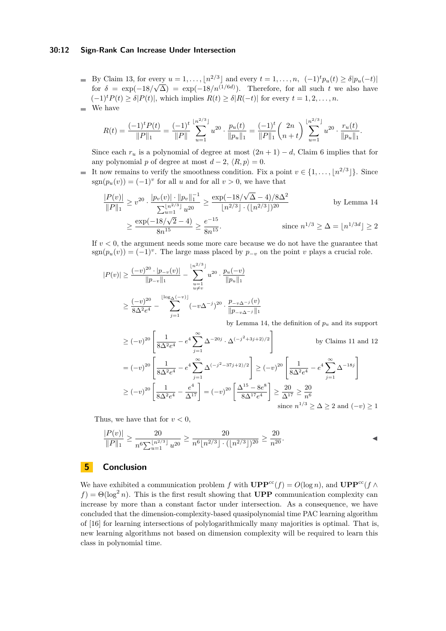#### **30:12 Sign-Rank Can Increase Under Intersection**

By Claim [13,](#page-9-0) for every  $u = 1, \ldots, \lfloor n^{2/3} \rfloor$  and every  $t = 1, \ldots, n, (-1)^t p_u(t) \ge \delta |p_u(-t)|$  $\sqrt{\Delta}$  = 1,..., [*n*<sup>'</sup>] and every  $t = 1, ..., n$ ,  $(-1) p_u(t) \ge o|p_u(-t)|$ <br> $\sqrt{\Delta}$  = exp(-18/*n*<sup>(1/6*d*)). Therefore, for all such *t* we also have</sup> for  $\delta = \exp(-18)$  $(-1)^t P(t) > \delta |P(t)|$ , which implies  $R(t) > \delta |R(-t)|$  for every  $t = 1, 2, \ldots, n$ . We have m.

$$
R(t) = \frac{(-1)^t P(t)}{\|P\|_1} = \frac{(-1)^t}{\|P\|_1} \sum_{u=1}^{\lfloor n^{2/3} \rfloor} u^{20} \cdot \frac{p_u(t)}{\|p_u\|_1} = \frac{(-1)^t}{\|P\|_1} {2n \choose n+t} \sum_{u=1}^{\lfloor n^{2/3} \rfloor} u^{20} \cdot \frac{r_u(t)}{\|p_u\|_1}.
$$

Since each  $r_u$  is a polynomial of degree at most  $(2n + 1) - d$ , Claim [6](#page-4-3) implies that for any polynomial *p* of degree at most  $d - 2$ ,  $\langle R, p \rangle = 0$ .

It now remains to verify the smoothness condition. Fix a point  $v \in \{1, \ldots, \lfloor n^{2/3} \rfloor\}$ . Since  $sgn(p_u(v)) = (-1)^v$  for all *u* and for all  $v > 0$ , we have that

$$
\frac{|P(v)|}{\|P\|_1} \ge v^{20} \cdot \frac{|p_v(v)| \cdot \|p_v\|_1^{-1}}{\sum_{u=1}^{\lfloor n^{2/3} \rfloor} u^{20}} \ge \frac{\exp(-18/\sqrt{\Delta} - 4)/8\Delta^2}{\lfloor n^{2/3} \rfloor \cdot (\lfloor n^{2/3} \rfloor)^{20}} \qquad \text{by Lemma 14}
$$

$$
\ge \frac{\exp(-18/\sqrt{2} - 4)}{8n^{15}} \ge \frac{e^{-15}}{8n^{15}} \qquad \text{since } n^{1/3} \ge \Delta = \lfloor n^{1/3d} \rfloor \ge 2
$$

If  $v < 0$ , the argument needs some more care because we do not have the guarantee that  $sgn(p_u(v)) = (-1)^v$ . The large mass placed by  $p_{-v}$  on the point *v* plays a crucial role.

$$
|P(v)| \ge \frac{(-v)^{20} \cdot |p_{-v}(v)|}{\|p_{-v}\|_1} - \sum_{\substack{u=1 \ u \ne v}}^{\lfloor n^{2/3} \rfloor} u^{20} \cdot \frac{p_u(-v)}{\|p_u\|_1}
$$
  

$$
\ge \frac{(-v)^{20}}{8\Delta^2 e^4} - \sum_{j=1}^{\lfloor \log_{\Delta}(-v) \rfloor} (-v\Delta^{-j})^{20} \cdot \frac{p_{-v\Delta^{-j}}(v)}{\|p_{-v\Delta^{-j}}\|_1}
$$
by Lemma 14, the definition of  $p_u$ 

by Lemma [14,](#page-10-0) the definition of *p<sup>u</sup>* and its support

$$
\geq (-v)^{20} \left[ \frac{1}{8\Delta^2 e^4} - e^4 \sum_{j=1}^{\infty} \Delta^{-20j} \cdot \Delta^{(-j^2+3j+2)/2} \right] \qquad \text{by Claim 11 and 12}
$$

$$
= (-v)^{20} \left[ \frac{1}{8\Delta^2 e^4} - e^4 \sum_{j=1}^{\infty} \Delta^{(-j^2-37j+2)/2} \right] \geq (-v)^{20} \left[ \frac{1}{8\Delta^2 e^4} - e^4 \sum_{j=1}^{\infty} \Delta^{-18j} \right]
$$

$$
\geq (-v)^{20} \left[ \frac{1}{8\Delta^2 e^4} - \frac{e^4}{\Delta^{17}} \right] = (-v)^{20} \left[ \frac{\Delta^{15} - 8e^8}{8\Delta^{17} e^4} \right] \geq \frac{20}{\Delta^{17}} \geq \frac{20}{n^6}
$$
since  $n^{1/3} \geq \Delta \geq 2$  and  $(-v) \geq 1$ 

Thus, we have that for  $v < 0$ ,

$$
\frac{|P(v)|}{\|P\|_1} \ge \frac{20}{n^6 \sum_{u=1}^{\lfloor n^{2/3} \rfloor} u^{20}} \ge \frac{20}{n^6 \lfloor n^{2/3} \rfloor \cdot (\lfloor n^{2/3} \rfloor)^{20}} \ge \frac{20}{n^{20}}.
$$

# **5 Conclusion**

We have exhibited a communication problem *f* with  $\mathbf{UPP}^{\text{cc}}(f) = O(\log n)$ , and  $\mathbf{UPP}^{\text{cc}}(f \wedge f) = O(\log n)$  $f$ ) =  $\Theta(\log^2 n)$ . This is the first result showing that **UPP** communication complexity can increase by more than a constant factor under intersection. As a consequence, we have concluded that the dimension-complexity-based quasipolynomial time PAC learning algorithm of [\[16\]](#page-13-5) for learning intersections of polylogarithmically many majorities is optimal. That is, new learning algorithms not based on dimension complexity will be required to learn this class in polynomial time.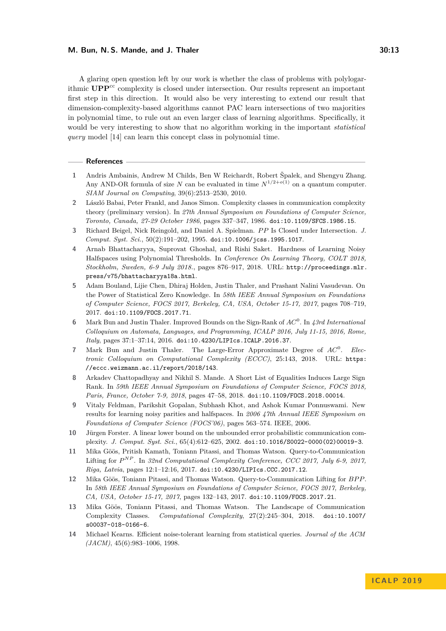A glaring open question left by our work is whether the class of problems with polylogarithmic **UPP**cc complexity is closed under intersection. Our results represent an important first step in this direction. It would also be very interesting to extend our result that dimension-complexity-based algorithms cannot PAC learn intersections of two majorities in polynomial time, to rule out an even larger class of learning algorithms. Specifically, it would be very interesting to show that no algorithm working in the important *statistical query* model [\[14\]](#page-12-13) can learn this concept class in polynomial time.

### **References**

- <span id="page-12-3"></span>**1** Andris Ambainis, Andrew M Childs, Ben W Reichardt, Robert Špalek, and Shengyu Zhang. Any AND-OR formula of size *N* can be evaluated in time  $N^{1/2+o(1)}$  on a quantum computer. *SIAM Journal on Computing*, 39(6):2513–2530, 2010.
- <span id="page-12-5"></span>**2** László Babai, Peter Frankl, and Janos Simon. Complexity classes in communication complexity theory (preliminary version). In *27th Annual Symposium on Foundations of Computer Science, Toronto, Canada, 27-29 October 1986*, pages 337–347, 1986. [doi:10.1109/SFCS.1986.15](http://dx.doi.org/10.1109/SFCS.1986.15).
- <span id="page-12-6"></span>**3** Richard Beigel, Nick Reingold, and Daniel A. Spielman. *P P* Is Closed under Intersection. *J. Comput. Syst. Sci.*, 50(2):191–202, 1995. [doi:10.1006/jcss.1995.1017](http://dx.doi.org/10.1006/jcss.1995.1017).
- <span id="page-12-8"></span>**4** Arnab Bhattacharyya, Suprovat Ghoshal, and Rishi Saket. Hardness of Learning Noisy Halfspaces using Polynomial Thresholds. In *Conference On Learning Theory, COLT 2018, Stockholm, Sweden, 6-9 July 2018.*, pages 876–917, 2018. URL: [http://proceedings.mlr.](http://proceedings.mlr.press/v75/bhattacharyya18a.html) [press/v75/bhattacharyya18a.html](http://proceedings.mlr.press/v75/bhattacharyya18a.html).
- <span id="page-12-11"></span>**5** Adam Bouland, Lijie Chen, Dhiraj Holden, Justin Thaler, and Prashant Nalini Vasudevan. On the Power of Statistical Zero Knowledge. In *58th IEEE Annual Symposium on Foundations of Computer Science, FOCS 2017, Berkeley, CA, USA, October 15-17, 2017*, pages 708–719, 2017. [doi:10.1109/FOCS.2017.71](http://dx.doi.org/10.1109/FOCS.2017.71).
- <span id="page-12-2"></span>**6** Mark Bun and Justin Thaler. Improved Bounds on the Sign-Rank of *AC*<sup>0</sup> . In *43rd International Colloquium on Automata, Languages, and Programming, ICALP 2016, July 11-15, 2016, Rome, Italy*, pages 37:1–37:14, 2016. [doi:10.4230/LIPIcs.ICALP.2016.37](http://dx.doi.org/10.4230/LIPIcs.ICALP.2016.37).
- <span id="page-12-12"></span>**7** Mark Bun and Justin Thaler. The Large-Error Approximate Degree of *AC*<sup>0</sup> . *Electronic Colloquium on Computational Complexity (ECCC)*, 25:143, 2018. URL: [https:](https://eccc.weizmann.ac.il/report/2018/143) [//eccc.weizmann.ac.il/report/2018/143](https://eccc.weizmann.ac.il/report/2018/143).
- <span id="page-12-1"></span>**8** Arkadev Chattopadhyay and Nikhil S. Mande. A Short List of Equalities Induces Large Sign Rank. In *59th IEEE Annual Symposium on Foundations of Computer Science, FOCS 2018, Paris, France, October 7-9, 2018*, pages 47–58, 2018. [doi:10.1109/FOCS.2018.00014](http://dx.doi.org/10.1109/FOCS.2018.00014).
- <span id="page-12-7"></span>**9** Vitaly Feldman, Parikshit Gopalan, Subhash Khot, and Ashok Kumar Ponnuswami. New results for learning noisy parities and halfspaces. In *2006 47th Annual IEEE Symposium on Foundations of Computer Science (FOCS'06)*, pages 563–574. IEEE, 2006.
- <span id="page-12-0"></span>**10** Jürgen Forster. A linear lower bound on the unbounded error probabilistic communication complexity. *J. Comput. Syst. Sci.*, 65(4):612–625, 2002. [doi:10.1016/S0022-0000\(02\)00019-3](http://dx.doi.org/10.1016/S0022-0000(02)00019-3).
- <span id="page-12-10"></span>**11** Mika Göös, Pritish Kamath, Toniann Pitassi, and Thomas Watson. Query-to-Communication Lifting for  $P^{NP}$ . In 32nd Computational Complexity Conference, CCC 2017, July 6-9, 2017, *Riga, Latvia*, pages 12:1–12:16, 2017. [doi:10.4230/LIPIcs.CCC.2017.12](http://dx.doi.org/10.4230/LIPIcs.CCC.2017.12).
- <span id="page-12-9"></span>**12** Mika Göös, Toniann Pitassi, and Thomas Watson. Query-to-Communication Lifting for *BP P*. In *58th IEEE Annual Symposium on Foundations of Computer Science, FOCS 2017, Berkeley, CA, USA, October 15-17, 2017*, pages 132–143, 2017. [doi:10.1109/FOCS.2017.21](http://dx.doi.org/10.1109/FOCS.2017.21).
- <span id="page-12-4"></span>**13** Mika Göös, Toniann Pitassi, and Thomas Watson. The Landscape of Communication Complexity Classes. *Computational Complexity*, 27(2):245–304, 2018. [doi:10.1007/](http://dx.doi.org/10.1007/s00037-018-0166-6) [s00037-018-0166-6](http://dx.doi.org/10.1007/s00037-018-0166-6).
- <span id="page-12-13"></span>**14** Michael Kearns. Efficient noise-tolerant learning from statistical queries. *Journal of the ACM (JACM)*, 45(6):983–1006, 1998.